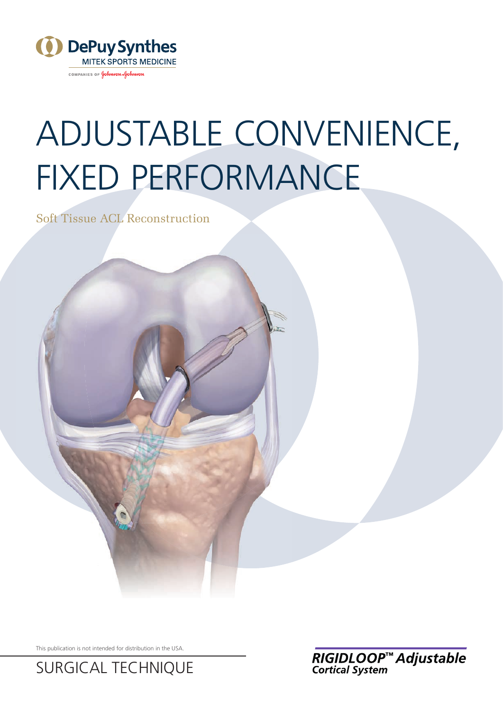

COMPANIES OF Johnson Johnson

# ADJUSTABLE CONVENIENCE, FIXED PERFORMANCE

Soft Tissue ACL Reconstruction

This publication is not intended for distribution in the USA.

SURGICAL TECHNIQUE

RIGIDLOOP™ Adjustable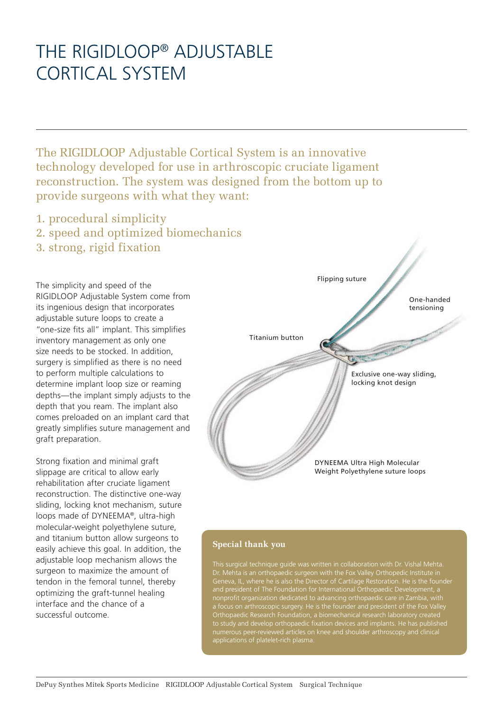# THE RIGIDLOOP® ADJUSTABLE CORTICAL SYSTEM

The RIGIDLOOP Adjustable Cortical System is an innovative technology developed for use in arthroscopic cruciate ligament reconstruction. The system was designed from the bottom up to provide surgeons with what they want:

- 1. procedural simplicity
- 2. speed and optimized biomechanics
- 3. strong, rigid fixation

The simplicity and speed of the RIGIDLOOP Adjustable System come from its ingenious design that incorporates adjustable suture loops to create a "one-size fits all" implant. This simplifies inventory management as only one size needs to be stocked. In addition, surgery is simplified as there is no need to perform multiple calculations to determine implant loop size or reaming depths—the implant simply adjusts to the depth that you ream. The implant also comes preloaded on an implant card that greatly simplifies suture management and graft preparation.

Strong fixation and minimal graft slippage are critical to allow early rehabilitation after cruciate ligament reconstruction. The distinctive one-way sliding, locking knot mechanism, suture loops made of DYNEEMA®, ultra-high molecular-weight polyethylene suture, and titanium button allow surgeons to easily achieve this goal. In addition, the adjustable loop mechanism allows the surgeon to maximize the amount of tendon in the femoral tunnel, thereby optimizing the graft-tunnel healing interface and the chance of a successful outcome.

Flipping suture

One-handed tensioning

Titanium button

Exclusive one-way sliding, locking knot design

DYNEEMA Ultra High Molecular Weight Polyethylene suture loops

### **Special thank you**

This surgical technique guide was written in collaboration with Dr. Vishal Mehta. Dr. Mehta is an orthopaedic surgeon with the Fox Valley Orthopedic Institute in Geneva, IL, where he is also the Director of Cartilage Restoration. He is the founder and president of The Foundation for International Orthopaedic Development, a nonprofit organization dedicated to advancing orthopaedic care in Zambia, with Orthopaedic Research Foundation, a biomechanical research laboratory created to study and develop orthopaedic fixation devices and implants. He has published applications of platelet-rich plasma.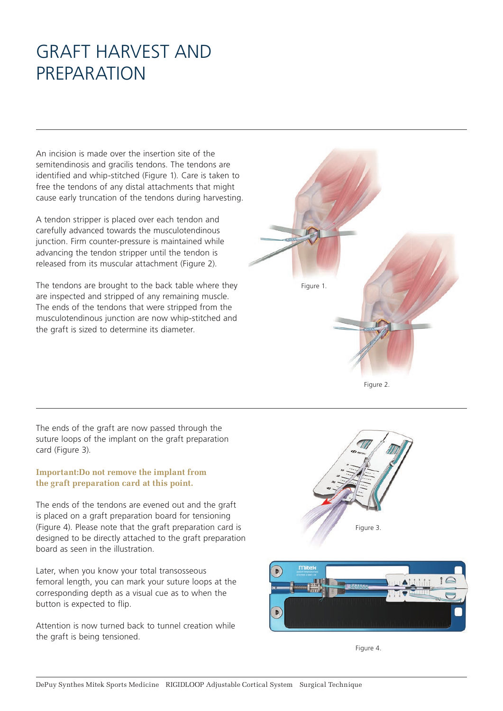# GRAFT HARVEST AND PREPARATION

An incision is made over the insertion site of the semitendinosis and gracilis tendons. The tendons are identified and whip-stitched (Figure 1). Care is taken to free the tendons of any distal attachments that might cause early truncation of the tendons during harvesting.

A tendon stripper is placed over each tendon and carefully advanced towards the musculotendinous junction. Firm counter-pressure is maintained while advancing the tendon stripper until the tendon is released from its muscular attachment (Figure 2).

The tendons are brought to the back table where they are inspected and stripped of any remaining muscle. The ends of the tendons that were stripped from the musculotendinous junction are now whip-stitched and the graft is sized to determine its diameter.

The ends of the graft are now passed through the suture loops of the implant on the graft preparation card (Figure 3).

## **Important:Do not remove the implant from the graft preparation card at this point.**

The ends of the tendons are evened out and the graft is placed on a graft preparation board for tensioning (Figure 4). Please note that the graft preparation card is designed to be directly attached to the graft preparation board as seen in the illustration.

Later, when you know your total transosseous femoral length, you can mark your suture loops at the corresponding depth as a visual cue as to when the button is expected to flip.

Attention is now turned back to tunnel creation while the graft is being tensioned.



Figure 2.





Figure 4.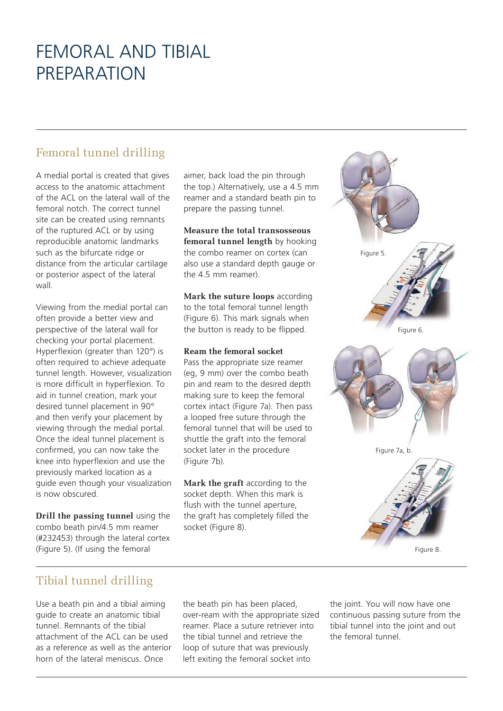# FEMORAL AND TIBIAL PREPARATION

## Femoral tunnel drilling

A medial portal is created that gives access to the anatomic attachment of the ACL on the lateral wall of the femoral notch. The correct tunnel site can be created using remnants of the ruptured ACL or by using reproducible anatomic landmarks such as the bifurcate ridge or distance from the articular cartilage or posterior aspect of the lateral wall.

Viewing from the medial portal can often provide a better view and perspective of the lateral wall for checking your portal placement. Hyperflexion (greater than 120°) is often required to achieve adequate tunnel length. However, visualization is more difficult in hyperflexion. To aid in tunnel creation, mark your desired tunnel placement in 90° and then verify your placement by viewing through the medial portal. Once the ideal tunnel placement is confirmed, you can now take the knee into hyperflexion and use the previously marked location as a guide even though your visualization is now obscured.

**Drill the passing tunnel** using the combo beath pin/4.5 mm reamer (#232453) through the lateral cortex (Figure 5). (If using the femoral

aimer, back load the pin through the top.) Alternatively, use a 4.5 mm reamer and a standard beath pin to prepare the passing tunnel.

**Measure the total transosseous femoral tunnel length** by hooking the combo reamer on cortex (can also use a standard depth gauge or the 4.5 mm reamer).

**Mark the suture loops** according to the total femoral tunnel length (Figure 6). This mark signals when the button is ready to be flipped.

## **Ream the femoral socket**

Pass the appropriate size reamer (eg, 9 mm) over the combo beath pin and ream to the desired depth making sure to keep the femoral cortex intact (Figure 7a). Then pass a looped free suture through the femoral tunnel that will be used to shuttle the graft into the femoral socket later in the procedure (Figure 7b).

**Mark the graft** according to the socket depth. When this mark is flush with the tunnel aperture, the graft has completely filled the socket (Figure 8).





## Tibial tunnel drilling

Use a beath pin and a tibial aiming guide to create an anatomic tibial tunnel. Remnants of the tibial attachment of the ACL can be used as a reference as well as the anterior horn of the lateral meniscus. Once

the beath pin has been placed, over-ream with the appropriate sized reamer. Place a suture retriever into the tibial tunnel and retrieve the loop of suture that was previously left exiting the femoral socket into

the joint. You will now have one continuous passing suture from the tibial tunnel into the joint and out the femoral tunnel.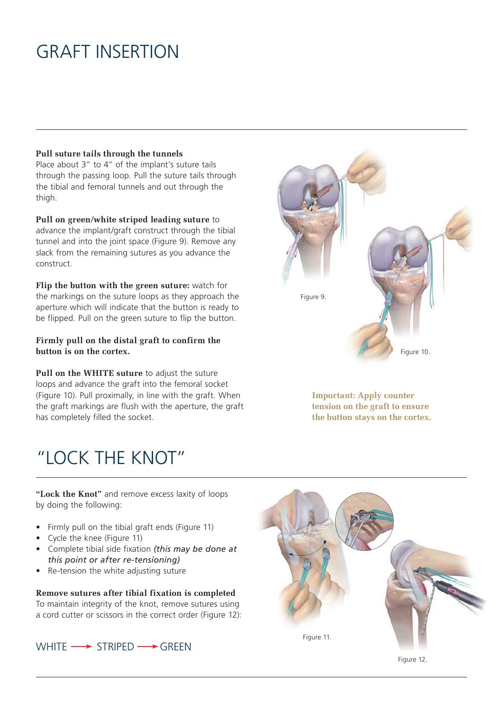# GRAFT INSERTION

### **Pull suture tails through the tunnels**

Place about 3" to 4" of the implant's suture tails through the passing loop. Pull the suture tails through the tibial and femoral tunnels and out through the thigh.

**Pull on green/white striped leading suture** to advance the implant/graft construct through the tibial tunnel and into the joint space (Figure 9). Remove any slack from the remaining sutures as you advance the construct.

**Flip the button with the green suture:** watch for the markings on the suture loops as they approach the aperture which will indicate that the button is ready to be flipped. Pull on the green suture to flip the button.

## **Firmly pull on the distal graft to confirm the button is on the cortex.**

Pull on the WHITE suture to adjust the suture loops and advance the graft into the femoral socket (Figure 10). Pull proximally, in line with the graft. When the graft markings are flush with the aperture, the graft has completely filled the socket.

# "LOCK THE KNOT"



**Important: Apply counter tension on the graft to ensure the button stays on the cortex.**

**"Lock the Knot"** and remove excess laxity of loops by doing the following:

- Firmly pull on the tibial graft ends (Figure 11)
- Cycle the knee (Figure 11)
- Complete tibial side fixation *(this may be done at this point or after re-tensioning)*
- Re-tension the white adjusting suture

**Remove sutures after tibial fixation is completed** To maintain integrity of the knot, remove sutures using a cord cutter or scissors in the correct order (Figure 12):